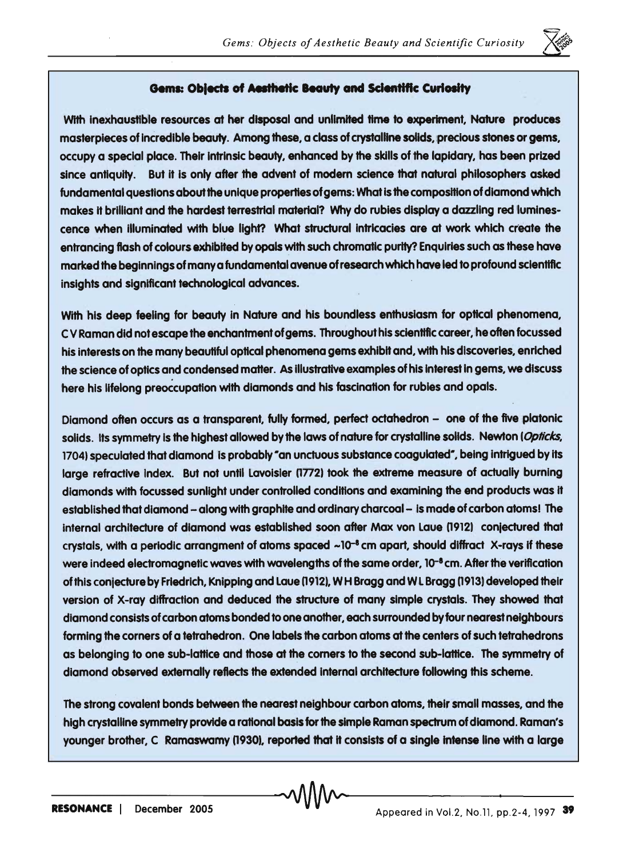

## **Gems: Oblects of Aesthetic Beauty and Scientific Curiosity**

With inexhaustible resources at her disposal and unlimited time to experiment, Nature produces masterpieces of incredible beauty. Among these, a class of crystalline solids, precious stones or gems, occupy a special place. Their intrinsic beauty, enhanced by the skills of the lapidary, has been prized since antiquity. But it is only after the advent of modern science that natural philosophers asked fundamental questions about the unique properties of gems: What Is the composition of diamond which makes it brilliant and the hardest terrestrial material? Why do rubles display a dazzling red luminescence when illuminated with blue light? What structural intricacies are at work which create the entrancing flash of colours exhibited by opals with such chromatic purity? Enquiries such as these have marked the beginnings of many a fundamental avenue of research which have led to profound scientific insights and Significant technological advances.

With his deep feeling for beauty in Nature and his boundless enthusiasm for optical phenomena, C V Raman did not escape the enchantment of gems. Throughout his scientific career, he often focussed his interests on the many beautiful optical phenomena gems exhibit and, with his discoveries, enriched the science of optics and condensed matter. As Illustrative examples of his interest in gems, we discuss here his lifelong preoCcupation with diamonds and his fascination for rubles and opals.

Diamond often occurs as a transparent, fully formed, perfect octahedron - one of the five platonic solids. Its symmetry is the highest allowed by the laws of nature for crystalline solids. Newton (Opticks, 1704) speculated that diamond is probably "an unctuous substance coagulated", being intrigued by its large refractive index. But not until Lavoisier (1772) took the extreme measure of actually burning diamonds with focussed sunlight under controlled conditions and examining the end products was it established that diamond - along with graphite and ordinary charcoal - is made of carbon atoms! The internal architecture of diamond was established soon after Max von laue (1912) coniedured that crystals, with a periodic arrangment of atoms spaced  $\sim10^{-6}$  cm apart, should diffract X-rays if these were indeed electromagnetic waves with wavelengths of the same order,  $10^{-6}$  cm. After the verification ofthis con;ecture by Friedrich, Knlpplng and laue (1912), W H Bragg and W l Bragg (1913) developed their version of X-ray diffraction and deduced the structure of many simple crystals. They showed that diamond consists of carbon atoms bonded to one another, each surrounded by four nearest neighbours forming the corners of a tetrahedron. One labels the carbon atoms at the centers of such tetrahedrons as belonging to one sub-lattice and those at the comers to the second sub-lattice. The symmetry of diamond observed extemally reflects the extended Internal architecture following this scheme.

The strong covatent bonds between the nearest neighbour carbon atoms, their small masses, and the high crystalline symmetry provide a rational basts for the simple Raman spectrum of diamond. Raman's younger brother, C Ramaswamy (1930), reported that it consists of a single Intense line with a large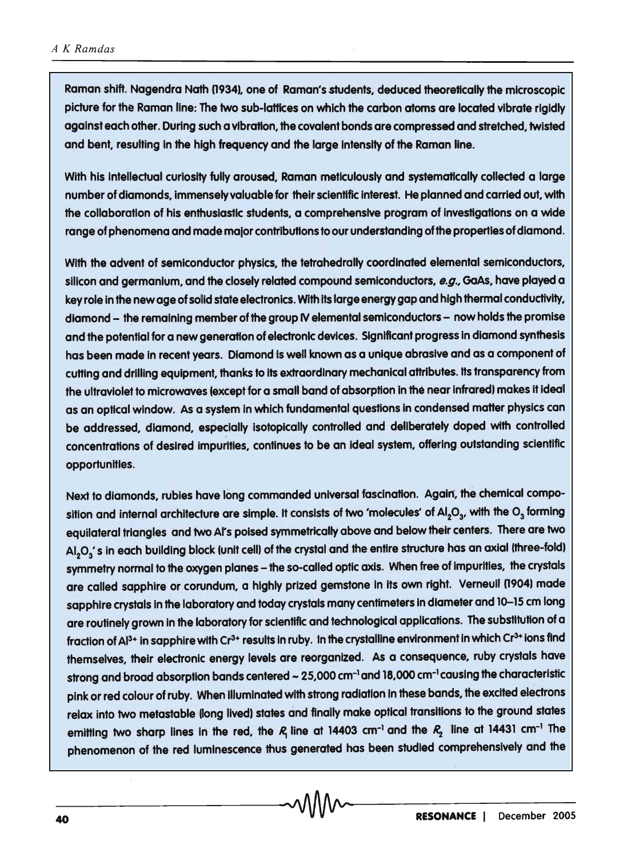Raman shift. Nagendra Nath (1934), one of Raman's students, deduced theoretically the microscopic picture for the Raman line: The 1wo sub-lattices on which the carbon atoms are located vibrate rigidly against each other. During such a vibration, the covalent bonds are compressed and stretched, 1wlsted and bent, resulting in the high frequency and the large intensity of the Raman line.

With his intellectual curiosity fully aroused, Raman meticulously and systematically collected a large number of diamonds, immensely valuable for their scientific Interest. He planned and carried out, with the collaboration of his enthusiastic students, a comprehensive program of investigations on a wide range of phenomena and made maior contributions to our understanding of the properties of diamond.

With the advent of semiconductor physics, the tetrahedrally coordinated elemental semiconductors, silicon and germanium, and the closely related compound semiconductors, e.g., GaAs, have played a key role in the new age of solid state electronics. With its large energy gap and high thermal conductivity, diamond - the remaining member of the group *N* elemental semiconductors - now holds the promise and the potential for a new generation of electronic devices. Significant progress in diamond synthesis has been made in recent years. Diamond is well known as a unique abrasive and as a component of cutting and drilling equipment, thanks to its extraordinary mechanical attributes. Its transparency from the ultraviolet to microwaves (except for a small band of absorption in the near infrared) makes it ideal as an optical window. As a system in which fundamental questions in condensed matter physics can be addressed, diamond, especially Isotopically controlled and deliberately doped with controlled concentrations of desired Impurities, continues to be an Ideal system, offering outstanding scientific opportunities.

Next to diamonds, rubies have long commanded universal fascination. Again, the chemical composition and internal architecture are simple. It consists of two 'molecules' of Al<sub>2</sub>O<sub>3</sub>, with the O<sub>3</sub> forming equilateral triangles and two Al's poised symmetrically above and below their centers. There are two  ${\rm Al_2O_3}'$ s in each building block (unit cell) of the crystal and the entire structure has an axial (three-fold) symmetry normal to the oxygen planes - the so-called optic axis. When free of impurities, the crystals are called sapphire or corundum, a highly prized gemstone in its own right. Verneuil (1904) made sapphire crystals in the laboratory and today crystals many centimeters in diameter and 10-15 cm long are routinely grown in the laboratory for scientific and technological applications. The substitution of a fraction of Al<sup>3+</sup> in sapphire with Cr<sup>3+</sup> results in ruby. In the crystalline environment in which Cr<sup>3+</sup> ions find themselves, their electronic energy levels are reorganized. As a consequence, ruby crystals have strong and broad absorption bands centered ~ 25,000 cm<sup>-1</sup> and 18,000 cm<sup>-1</sup> causing the characteristic pink or red colour of ruby. When illuminated with strong radiation in these bands, the excited electrons relax into two metastable (long lived) states and finally make optical transitions to the ground states emitting two sharp lines in the red, the  $R_1$  line at 14403 cm<sup>-1</sup> and the  $R_2$  line at 14431 cm<sup>-1</sup> The phenomenon of the red luminescence thus generated has been studied comprehensively and the